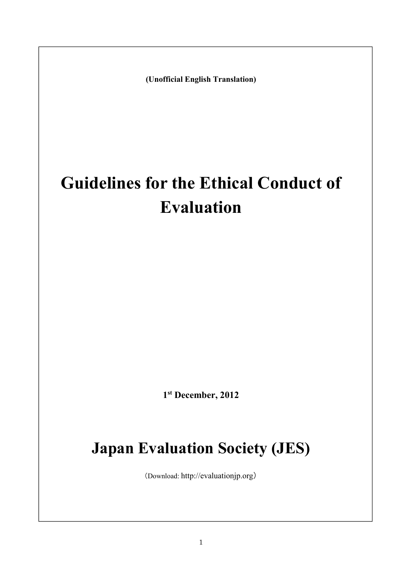**(Unofficial English Translation)** 

# **Guidelines for the Ethical Conduct of Evaluation**

**1 st December, 2012** 

## **Japan Evaluation Society (JES)**

(Download: http://evaluationjp.org)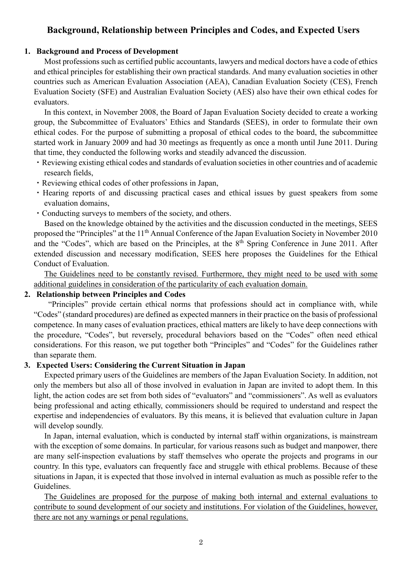## **Background, Relationship between Principles and Codes, and Expected Users**

#### **1. Background and Process of Development**

Most professions such as certified public accountants, lawyers and medical doctors have a code of ethics and ethical principles for establishing their own practical standards. And many evaluation societies in other countries such as American Evaluation Association (AEA), Canadian Evaluation Society (CES), French Evaluation Society (SFE) and Australian Evaluation Society (AES) also have their own ethical codes for evaluators.

In this context, in November 2008, the Board of Japan Evaluation Society decided to create a working group, the Subcommittee of Evaluators' Ethics and Standards (SEES), in order to formulate their own ethical codes. For the purpose of submitting a proposal of ethical codes to the board, the subcommittee started work in January 2009 and had 30 meetings as frequently as once a month until June 2011. During that time, they conducted the following works and steadily advanced the discussion.

- ・Reviewing existing ethical codes and standards of evaluation societies in other countries and of academic research fields,
- ・Reviewing ethical codes of other professions in Japan,
- ・Hearing reports of and discussing practical cases and ethical issues by guest speakers from some evaluation domains,
- ・Conducting surveys to members of the society, and others.

Based on the knowledge obtained by the activities and the discussion conducted in the meetings, SEES proposed the "Principles" at the 11th Annual Conference of the Japan Evaluation Society in November 2010 and the "Codes", which are based on the Principles, at the 8<sup>th</sup> Spring Conference in June 2011. After extended discussion and necessary modification, SEES here proposes the Guidelines for the Ethical Conduct of Evaluation.

The Guidelines need to be constantly revised. Furthermore, they might need to be used with some additional guidelines in consideration of the particularity of each evaluation domain.

#### **2. Relationship between Principles and Codes**

 "Principles" provide certain ethical norms that professions should act in compliance with, while "Codes" (standard procedures) are defined as expected manners in their practice on the basis of professional competence. In many cases of evaluation practices, ethical matters are likely to have deep connections with the procedure, "Codes", but reversely, procedural behaviors based on the "Codes" often need ethical considerations. For this reason, we put together both "Principles" and "Codes" for the Guidelines rather than separate them.

#### **3. Expected Users: Considering the Current Situation in Japan**

Expected primary users of the Guidelines are members of the Japan Evaluation Society. In addition, not only the members but also all of those involved in evaluation in Japan are invited to adopt them. In this light, the action codes are set from both sides of "evaluators" and "commissioners". As well as evaluators being professional and acting ethically, commissioners should be required to understand and respect the expertise and independencies of evaluators. By this means, it is believed that evaluation culture in Japan will develop soundly.

In Japan, internal evaluation, which is conducted by internal staff within organizations, is mainstream with the exception of some domains. In particular, for various reasons such as budget and manpower, there are many self-inspection evaluations by staff themselves who operate the projects and programs in our country. In this type, evaluators can frequently face and struggle with ethical problems. Because of these situations in Japan, it is expected that those involved in internal evaluation as much as possible refer to the Guidelines.

The Guidelines are proposed for the purpose of making both internal and external evaluations to contribute to sound development of our society and institutions. For violation of the Guidelines, however, there are not any warnings or penal regulations.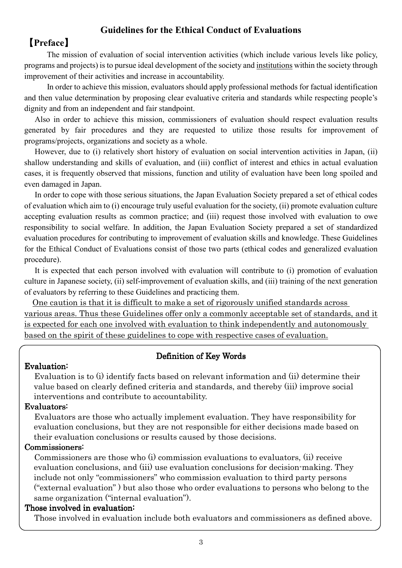## **Guidelines for the Ethical Conduct of Evaluations**

## 【**Preface**】

The mission of evaluation of social intervention activities (which include various levels like policy, programs and projects) is to pursue ideal development of the society and institutions within the society through improvement of their activities and increase in accountability.

 In order to achieve this mission, evaluators should apply professional methods for factual identification and then value determination by proposing clear evaluative criteria and standards while respecting people's dignity and from an independent and fair standpoint.

Also in order to achieve this mission, commissioners of evaluation should respect evaluation results generated by fair procedures and they are requested to utilize those results for improvement of programs/projects, organizations and society as a whole.

However, due to (i) relatively short history of evaluation on social intervention activities in Japan, (ii) shallow understanding and skills of evaluation, and (iii) conflict of interest and ethics in actual evaluation cases, it is frequently observed that missions, function and utility of evaluation have been long spoiled and even damaged in Japan.

In order to cope with those serious situations, the Japan Evaluation Society prepared a set of ethical codes of evaluation which aim to (i) encourage truly useful evaluation for the society, (ii) promote evaluation culture accepting evaluation results as common practice; and (iii) request those involved with evaluation to owe responsibility to social welfare. In addition, the Japan Evaluation Society prepared a set of standardized evaluation procedures for contributing to improvement of evaluation skills and knowledge. These Guidelines for the Ethical Conduct of Evaluations consist of those two parts (ethical codes and generalized evaluation procedure).

It is expected that each person involved with evaluation will contribute to (i) promotion of evaluation culture in Japanese society, (ii) self-improvement of evaluation skills, and (iii) training of the next generation of evaluators by referring to these Guidelines and practicing them.

One caution is that it is difficult to make a set of rigorously unified standards across various areas. Thus these Guidelines offer only a commonly acceptable set of standards, and it is expected for each one involved with evaluation to think independently and autonomously based on the spirit of these guidelines to cope with respective cases of evaluation.

#### Definition of Key Words

#### Evaluation: Evaluation:

Evaluation is to (i) identify facts based on relevant information and (ii) determine their value based on clearly defined criteria and standards, and thereby (iii) improve social interventions and contribute to accountability.

#### Evaluators:

Evaluators are those who actually implement evaluation. They have responsibility for evaluation conclusions, but they are not responsible for either decisions made based on their evaluation conclusions or results caused by those decisions.

#### Commissioners:

Commissioners are those who (i) commission evaluations to evaluators, (ii) receive evaluation conclusions, and (iii) use evaluation conclusions for decision-making. They include not only "commissioners" who commission evaluation to third party persons ("external evaluation" ) but also those who order evaluations to persons who belong to the same organization ("internal evaluation").

#### Those involved in evaluation:

Those involved in evaluation include both evaluators and commissioners as defined above.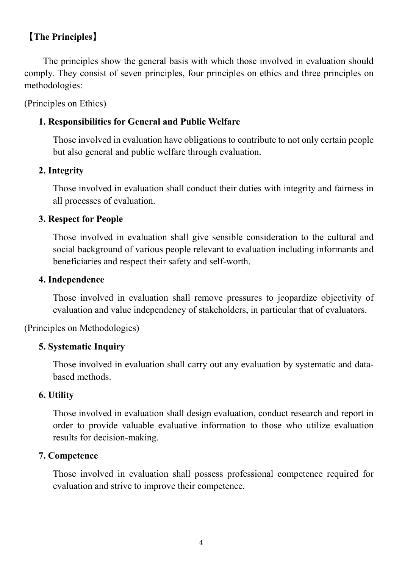## 【**The Principles**】

The principles show the general basis with which those involved in evaluation should comply. They consist of seven principles, four principles on ethics and three principles on methodologies:

(Principles on Ethics)

## **1. Responsibilities for General and Public Welfare**

Those involved in evaluation have obligations to contribute to not only certain people but also general and public welfare through evaluation.

## **2. Integrity**

Those involved in evaluation shall conduct their duties with integrity and fairness in all processes of evaluation.

## **3. Respect for People**

Those involved in evaluation shall give sensible consideration to the cultural and social background of various people relevant to evaluation including informants and beneficiaries and respect their safety and self-worth.

## **4. Independence**

Those involved in evaluation shall remove pressures to jeopardize objectivity of evaluation and value independency of stakeholders, in particular that of evaluators.

## (Principles on Methodologies)

## **5. Systematic Inquiry**

Those involved in evaluation shall carry out any evaluation by systematic and databased methods.

## **6. Utility**

Those involved in evaluation shall design evaluation, conduct research and report in order to provide valuable evaluative information to those who utilize evaluation results for decision-making.

## **7. Competence**

Those involved in evaluation shall possess professional competence required for evaluation and strive to improve their competence.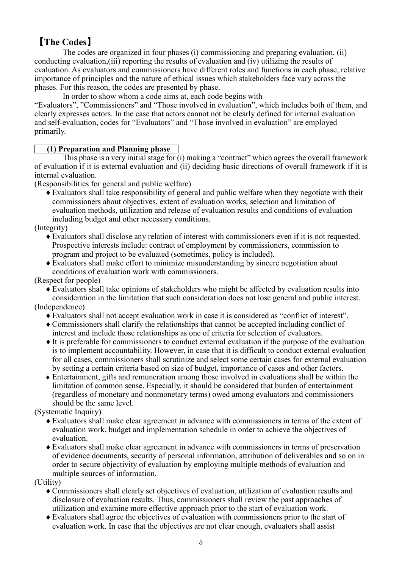## 【**The Codes**】

The codes are organized in four phases (i) commissioning and preparing evaluation, (ii) conducting evaluation,(iii) reporting the results of evaluation and (iv) utilizing the results of evaluation. As evaluators and commissioners have different roles and functions in each phase, relative importance of principles and the nature of ethical issues which stakeholders face vary across the phases. For this reason, the codes are presented by phase.

In order to show whom a code aims at, each code begins with

"Evaluators", "Commissioners" and "Those involved in evaluation", which includes both of them, and clearly expresses actors. In the case that actors cannot not be clearly defined for internal evaluation and self-evaluation, codes for "Evaluators" and "Those involved in evaluation" are employed primarily.

#### **(1) Preparation and Planning phase**

This phase is a very initial stage for (i) making a "contract" which agrees the overall framework of evaluation if it is external evaluation and (ii) deciding basic directions of overall framework if it is internal evaluation.

(Responsibilities for general and public welfare)

 $\blacklozenge$  Evaluators shall take responsibility of general and public welfare when they negotiate with their commissioners about objectives, extent of evaluation works, selection and limitation of evaluation methods, utilization and release of evaluation results and conditions of evaluation including budget and other necessary conditions.

(Integrity)

- ♦Evaluators shall disclose any relation of interest with commissioners even if it is not requested. Prospective interests include: contract of employment by commissioners, commission to program and project to be evaluated (sometimes, policy is included).
- ♦Evaluators shall make effort to minimize misunderstanding by sincere negotiation about conditions of evaluation work with commissioners.

(Respect for people)

♦Evaluators shall take opinions of stakeholders who might be affected by evaluation results into consideration in the limitation that such consideration does not lose general and public interest.

(Independence)

- ♦Evaluators shall not accept evaluation work in case it is considered as "conflict of interest".
- ♦Commissioners shall clarify the relationships that cannot be accepted including conflict of interest and include those relationships as one of criteria for selection of evaluators.
- ♦It is preferable for commissioners to conduct external evaluation if the purpose of the evaluation is to implement accountability. However, in case that it is difficult to conduct external evaluation for all cases, commissioners shall scrutinize and select some certain cases for external evaluation by setting a certain criteria based on size of budget, importance of cases and other factors.
- ♦ Entertainment, gifts and remuneration among those involved in evaluations shall be within the limitation of common sense. Especially, it should be considered that burden of entertainment (regardless of monetary and nonmonetary terms) owed among evaluators and commissioners should be the same level.

(Systematic Inquiry)

- ♦Evaluators shall make clear agreement in advance with commissioners in terms of the extent of evaluation work, budget and implementation schedule in order to achieve the objectives of evaluation.
- ♦Evaluators shall make clear agreement in advance with commissioners in terms of preservation of evidence documents, security of personal information, attribution of deliverables and so on in order to secure objectivity of evaluation by employing multiple methods of evaluation and multiple sources of information.

(Utility)

- ♦Commissioners shall clearly set objectives of evaluation, utilization of evaluation results and disclosure of evaluation results. Thus, commissioners shall review the past approaches of utilization and examine more effective approach prior to the start of evaluation work.
- ♦Evaluators shall agree the objectives of evaluation with commissioners prior to the start of evaluation work. In case that the objectives are not clear enough, evaluators shall assist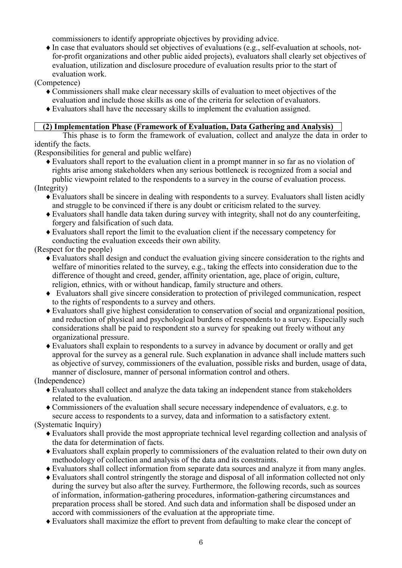commissioners to identify appropriate objectives by providing advice.

♦In case that evaluators should set objectives of evaluations (e.g., self-evaluation at schools, notfor-profit organizations and other public aided projects), evaluators shall clearly set objectives of evaluation, utilization and disclosure procedure of evaluation results prior to the start of evaluation work.

(Competence)

- ♦Commissioners shall make clear necessary skills of evaluation to meet objectives of the evaluation and include those skills as one of the criteria for selection of evaluators.
- ♦Evaluators shall have the necessary skills to implement the evaluation assigned.

#### **(2) Implementation Phase (Framework of Evaluation, Data Gathering and Analysis)**

This phase is to form the framework of evaluation, collect and analyze the data in order to identify the facts.

(Responsibilities for general and public welfare)

♦Evaluators shall report to the evaluation client in a prompt manner in so far as no violation of rights arise among stakeholders when any serious bottleneck is recognized from a social and public viewpoint related to the respondents to a survey in the course of evaluation process.

(Integrity)

- ♦Evaluators shall be sincere in dealing with respondents to a survey. Evaluators shall listen acidly and struggle to be convinced if there is any doubt or criticism related to the survey.
- ♦Evaluators shall handle data taken during survey with integrity, shall not do any counterfeiting, forgery and falsification of such data.
- ♦Evaluators shall report the limit to the evaluation client if the necessary competency for conducting the evaluation exceeds their own ability.

(Respect for the people)

- ♦Evaluators shall design and conduct the evaluation giving sincere consideration to the rights and welfare of minorities related to the survey, e.g., taking the effects into consideration due to the difference of thought and creed, gender, affinity orientation, age, place of origin, culture, religion, ethnics, with or without handicap, family structure and others.
- ♦ Evaluators shall give sincere consideration to protection of privileged communication, respect to the rights of respondents to a survey and others.
- ♦Evaluators shall give highest consideration to conservation of social and organizational position, and reduction of physical and psychological burdens of respondents to a survey. Especially such considerations shall be paid to respondent sto a survey for speaking out freely without any organizational pressure.
- ♦Evaluators shall explain to respondents to a survey in advance by document or orally and get approval for the survey as a general rule. Such explanation in advance shall include matters such as objective of survey, commissioners of the evaluation, possible risks and burden, usage of data, manner of disclosure, manner of personal information control and others.

(Independence)

- ♦Evaluators shall collect and analyze the data taking an independent stance from stakeholders related to the evaluation.
- ♦Commissioners of the evaluation shall secure necessary independence of evaluators, e.g. to secure access to respondents to a survey, data and information to a satisfactory extent.

(Systematic Inquiry)

- ♦Evaluators shall provide the most appropriate technical level regarding collection and analysis of the data for determination of facts.
- ♦Evaluators shall explain properly to commissioners of the evaluation related to their own duty on methodology of collection and analysis of the data and its constraints.
- ♦Evaluators shall collect information from separate data sources and analyze it from many angles.
- ♦Evaluators shall control stringently the storage and disposal of all information collected not only during the survey but also after the survey. Furthermore, the following records, such as sources of information, information-gathering procedures, information-gathering circumstances and preparation process shall be stored. And such data and information shall be disposed under an accord with commissioners of the evaluation at the appropriate time.
- ♦Evaluators shall maximize the effort to prevent from defaulting to make clear the concept of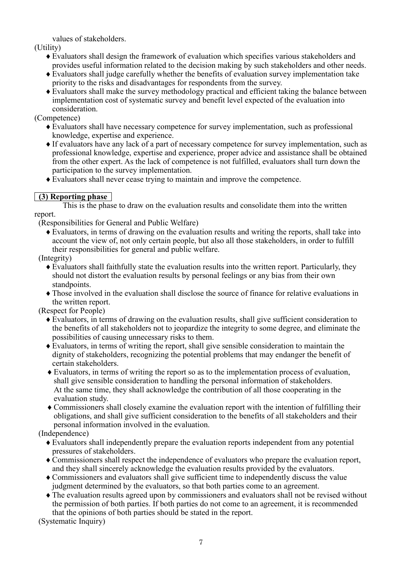values of stakeholders.

(Utility)

- ♦Evaluators shall design the framework of evaluation which specifies various stakeholders and provides useful information related to the decision making by such stakeholders and other needs.
- ♦Evaluators shall judge carefully whether the benefits of evaluation survey implementation take priority to the risks and disadvantages for respondents from the survey.
- ♦Evaluators shall make the survey methodology practical and efficient taking the balance between implementation cost of systematic survey and benefit level expected of the evaluation into consideration.

(Competence)

- ♦Evaluators shall have necessary competence for survey implementation, such as professional knowledge, expertise and experience.
- ♦If evaluators have any lack of a part of necessary competence for survey implementation, such as professional knowledge, expertise and experience, proper advice and assistance shall be obtained from the other expert. As the lack of competence is not fulfilled, evaluators shall turn down the participation to the survey implementation.
- ♦Evaluators shall never cease trying to maintain and improve the competence.

#### **(3) Reporting phase**

 This is the phase to draw on the evaluation results and consolidate them into the written report.

(Responsibilities for General and Public Welfare)

♦Evaluators, in terms of drawing on the evaluation results and writing the reports, shall take into account the view of, not only certain people, but also all those stakeholders, in order to fulfill their responsibilities for general and public welfare.

(Integrity)

- ♦Evaluators shall faithfully state the evaluation results into the written report. Particularly, they should not distort the evaluation results by personal feelings or any bias from their own standpoints.
- ♦Those involved in the evaluation shall disclose the source of finance for relative evaluations in the written report.

(Respect for People)

- ♦Evaluators, in terms of drawing on the evaluation results, shall give sufficient consideration to the benefits of all stakeholders not to jeopardize the integrity to some degree, and eliminate the possibilities of causing unnecessary risks to them.
- ♦Evaluators, in terms of writing the report, shall give sensible consideration to maintain the dignity of stakeholders, recognizing the potential problems that may endanger the benefit of certain stakeholders.
- ♦Evaluators, in terms of writing the report so as to the implementation process of evaluation, shall give sensible consideration to handling the personal information of stakeholders. At the same time, they shall acknowledge the contribution of all those cooperating in the evaluation study.
- ♦Commissioners shall closely examine the evaluation report with the intention of fulfilling their obligations, and shall give sufficient consideration to the benefits of all stakeholders and their personal information involved in the evaluation.

(Independence)

- ♦Evaluators shall independently prepare the evaluation reports independent from any potential pressures of stakeholders.
- ♦Commissioners shall respect the independence of evaluators who prepare the evaluation report, and they shall sincerely acknowledge the evaluation results provided by the evaluators.
- ♦Commissioners and evaluators shall give sufficient time to independently discuss the value judgment determined by the evaluators, so that both parties come to an agreement.
- ♦The evaluation results agreed upon by commissioners and evaluators shall not be revised without the permission of both parties. If both parties do not come to an agreement, it is recommended that the opinions of both parties should be stated in the report.

(Systematic Inquiry)